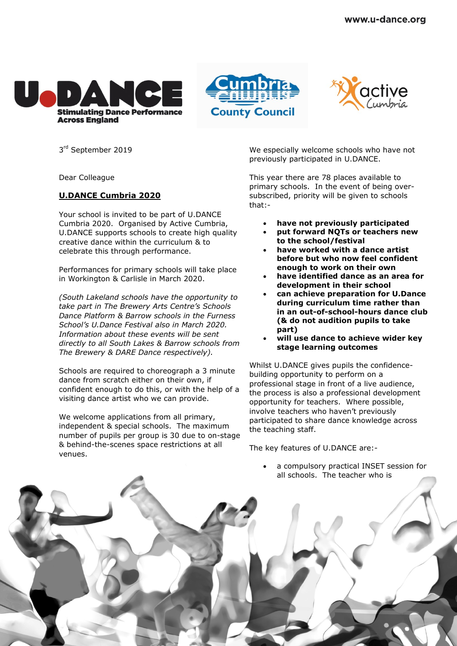





3<sup>rd</sup> September 2019

Dear Colleague

## **U.DANCE Cumbria 2020**

Your school is invited to be part of U.DANCE Cumbria 2020. Organised by Active Cumbria, U.DANCE supports schools to create high quality creative dance within the curriculum & to celebrate this through performance.

Performances for primary schools will take place in Workington & Carlisle in March 2020.

*(South Lakeland schools have the opportunity to take part in The Brewery Arts Centre's Schools Dance Platform & Barrow schools in the Furness School's U.Dance Festival also in March 2020. Information about these events will be sent directly to all South Lakes & Barrow schools from The Brewery & DARE Dance respectively).*

Schools are required to choreograph a 3 minute dance from scratch either on their own, if confident enough to do this, or with the help of a visiting dance artist who we can provide.

We welcome applications from all primary, independent & special schools. The maximum number of pupils per group is 30 due to on-stage & behind-the-scenes space restrictions at all venues.

We especially welcome schools who have not previously participated in U.DANCE.

This year there are 78 places available to primary schools. In the event of being oversubscribed, priority will be given to schools that:-

- **have not previously participated**
- **put forward NQTs or teachers new to the school/festival**
- **have worked with a dance artist before but who now feel confident enough to work on their own**
- **have identified dance as an area for development in their school**
- **can achieve preparation for U.Dance during curriculum time rather than in an out-of-school-hours dance club (& do not audition pupils to take part)**
- **will use dance to achieve wider key stage learning outcomes**

Whilst U.DANCE gives pupils the confidencebuilding opportunity to perform on a professional stage in front of a live audience, the process is also a professional development opportunity for teachers. Where possible, involve teachers who haven't previously participated to share dance knowledge across the teaching staff.

The key features of U.DANCE are:-

 a compulsory practical INSET session for all schools. The teacher who is

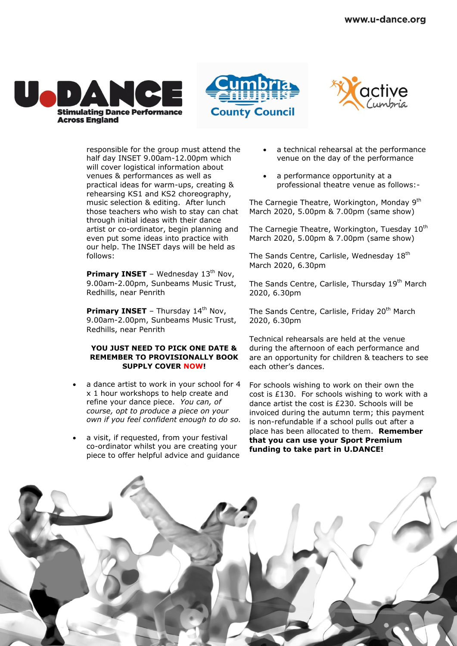





responsible for the group must attend the half day INSET 9.00am-12.00pm which will cover logistical information about venues & performances as well as practical ideas for warm-ups, creating & rehearsing KS1 and KS2 choreography, music selection & editing. After lunch those teachers who wish to stay can chat through initial ideas with their dance artist or co-ordinator, begin planning and even put some ideas into practice with our help. The INSET days will be held as follows:

**Primary INSET** - Wednesday 13<sup>th</sup> Nov, 9.00am-2.00pm, Sunbeams Music Trust, Redhills, near Penrith

**Primary INSET** - Thursday 14<sup>th</sup> Nov, 9.00am-2.00pm, Sunbeams Music Trust, Redhills, near Penrith

## **YOU JUST NEED TO PICK ONE DATE & REMEMBER TO PROVISIONALLY BOOK SUPPLY COVER NOW!**

- a dance artist to work in your school for 4 x 1 hour workshops to help create and refine your dance piece. *You can, of course, opt to produce a piece on your own if you feel confident enough to do so.*
- a visit, if requested, from your festival co-ordinator whilst you are creating your piece to offer helpful advice and guidance
- a technical rehearsal at the performance venue on the day of the performance
- a performance opportunity at a professional theatre venue as follows:-

The Carnegie Theatre, Workington, Monday 9<sup>th</sup> March 2020, 5.00pm & 7.00pm (same show)

The Carnegie Theatre, Workington, Tuesday 10<sup>th</sup> March 2020, 5.00pm & 7.00pm (same show)

The Sands Centre, Carlisle, Wednesday 18<sup>th</sup> March 2020, 6.30pm

The Sands Centre, Carlisle, Thursday 19<sup>th</sup> March 2020, 6.30pm

The Sands Centre, Carlisle, Friday 20<sup>th</sup> March 2020, 6.30pm

Technical rehearsals are held at the venue during the afternoon of each performance and are an opportunity for children & teachers to see each other's dances.

For schools wishing to work on their own the cost is £130. For schools wishing to work with a dance artist the cost is £230. Schools will be invoiced during the autumn term; this payment is non-refundable if a school pulls out after a place has been allocated to them. **Remember that you can use your Sport Premium funding to take part in U.DANCE!**